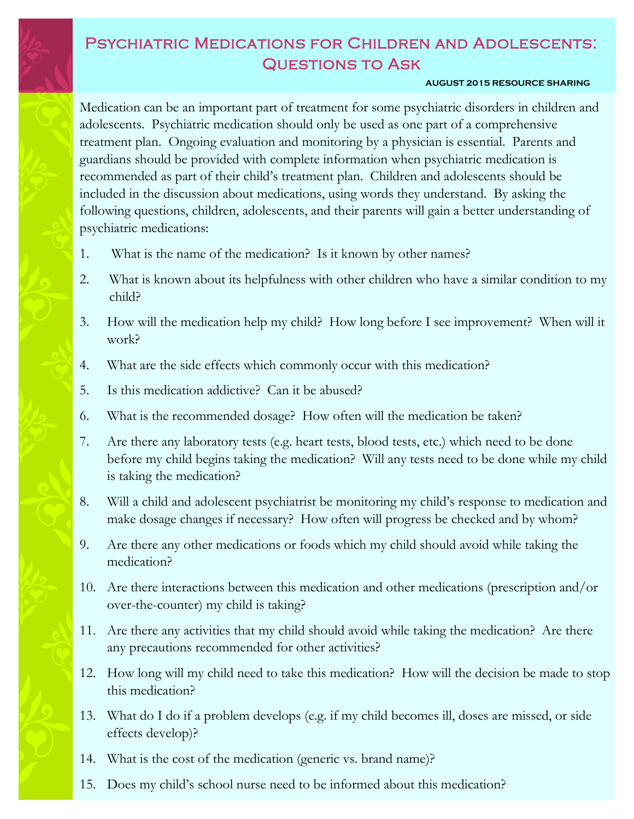## Psychiatric Medications for Children and Adolescents: Questions to Ask

## **AUGUST 2015 RESOURCE SHARING**

Medication can be an important part of treatment for some psychiatric disorders in children and adolescents. Psychiatric medication should only be used as one part of a comprehensive treatment plan. Ongoing evaluation and monitoring by a physician is essential. Parents and guardians should be provided with complete information when psychiatric medication is recommended as part of their child's treatment plan. Children and adolescents should be included in the discussion about medications, using words they understand. By asking the following questions, children, adolescents, and their parents will gain a better understanding of psychiatric medications:

- 1. What is the name of the medication? Is it known by other names?
- 2. What is known about its helpfulness with other children who have a similar condition to my child?
- 3. How will the medication help my child? How long before I see improvement? When will it work?
- 4. What are the side effects which commonly occur with this medication?
- 5. Is this medication addictive? Can it be abused?
- 6. What is the recommended dosage? How often will the medication be taken?
- 7. Are there any laboratory tests (e.g. heart tests, blood tests, etc.) which need to be done before my child begins taking the medication? Will any tests need to be done while my child is taking the medication?
- 8. Will a child and adolescent psychiatrist be monitoring my child's response to medication and make dosage changes if necessary? How often will progress be checked and by whom?
- 9. Are there any other medications or foods which my child should avoid while taking the medication?
- 10. Are there interactions between this medication and other medications (prescription and/or over-the-counter) my child is taking?
- 11. Are there any activities that my child should avoid while taking the medication? Are there any precautions recommended for other activities?
- 12. How long will my child need to take this medication? How will the decision be made to stop this medication?
- 13. What do I do if a problem develops (e.g. if my child becomes ill, doses are missed, or side effects develop)?
- 14. What is the cost of the medication (generic vs. brand name)?
- 15. Does my child's school nurse need to be informed about this medication?